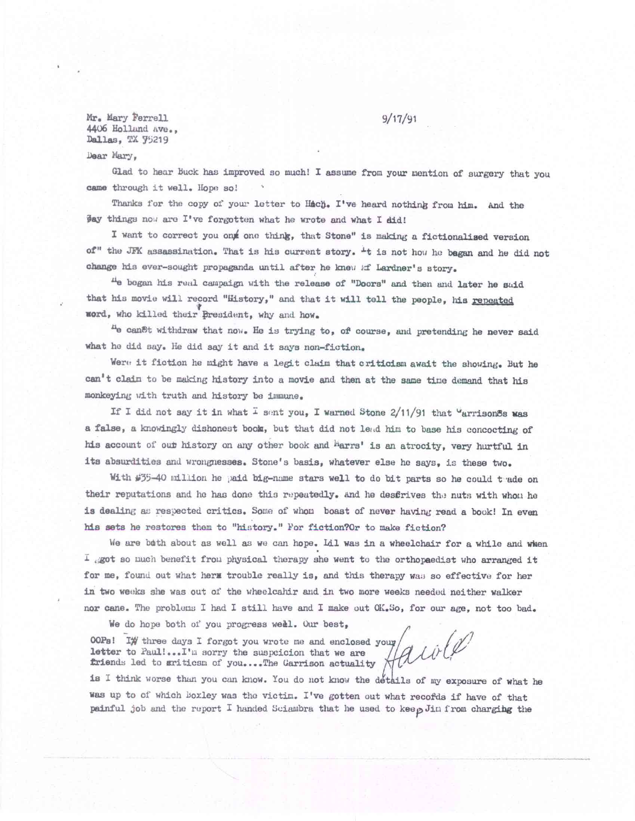$Mr_{\bullet}$  Mary Ferrell  $9/17/91$ 4406 Holland hve., Dallas, TX 75219

Dear Mary,

Glad to hear Buck has improved so much! I assume from your mention of surgery that you came through it well. Hope so!

Thanks for the copy of your letter to Hach. I've heard nothing from him. And the  $\frac{1}{2}$  things now are I've forgotten what he wrote and what I did!

I want to correct you ont one think, that Stone" is making a fictionalised version of" the JFK assassination. That is his current story. <sup>It</sup> is not how he bagan and he did not change his ever-sought propaganda until after he knew of Lardner's story.

He began his real campaign with the release of "Doors" and then and later he suid that his movie will record "History," and that it will tell the people, his repeated word, who killed their president, why and how.

<sup>11</sup>0 cantwithdraw that nor. He is *trying* to, of course, and pretending he never said what he did say. He did *say* it and it says non-fiction.

Were it fiction he might have a legit claim that criticism await the showing. But he can't claim to be making history into a movie and then at the same tine demand that his monkeying with truth and history be immune.

If I did not say it in what  $\overline{L}$  sent you, I warned Stone 2/11/91 that "arrison&s was a false, a knowingly dishonest book, but that did not lead him to base his concocting of his account of out history on any other book and larrs' is an atrocity, very hurtful in its absurdities and wrongnesses. Stone's basis, whatever else he says, is these two.

With #35-40 million he paid big-name stars well to do bit parts so he could t ade on their reputations and he has done this repeatedly. And he desfrives the nuts with whom he is dealing as respected critics. Some of whom boast of never having read a book! In even his sets he restores them to "history." For fiction?Or to make fiction?

We are bath about as well as we can hope. Lil was in a wheelchair for a while and when  $I$  got so much benefit from physical therapy she went to the orthopaedist who arranged it for me, found out what herm trouble really is, and this therapy was so effective for her in two weeks she was out of the wheelcahir and in two more weeks needed neither walker *nor* cane. The problems I had I still have and I make out OK.3o, for our age, not too bad.

We do hope both of you progress weel. Our best,

letter to Paul!...I'm sorry the suspcicion that we are 00Pa! IW three days I forgot you wrote me and enclosed your, friends led to griticsm of you....The Garrison actuality

is I think worse than you can know. You do not know the details of my exposure of what he was up to of which Boxley was the victim. I've gotten out what recofds if have of that painful job and the report I handed Sciambra that he used to keep Jin from charging the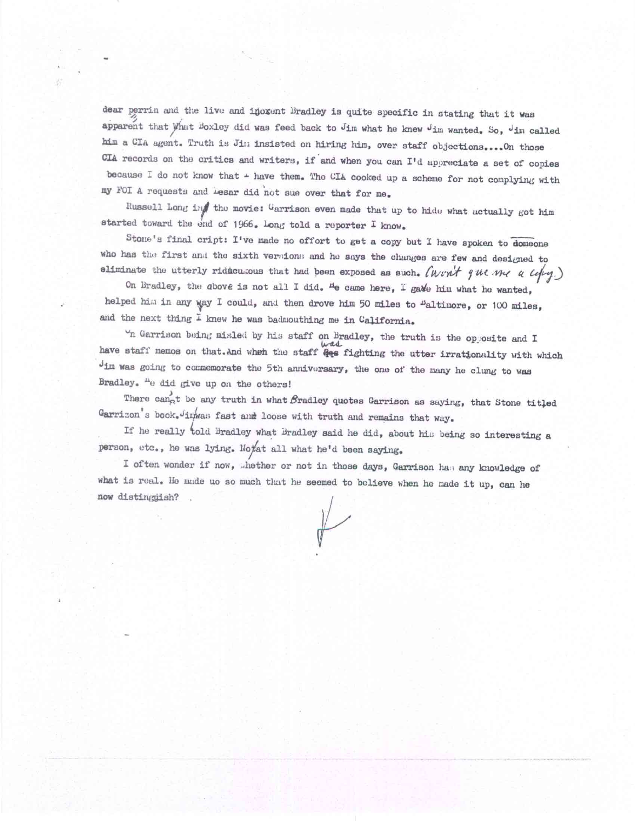dear perrin and the live and inoxent Bradley is quite specific in stating that it was apparent that What Boxley did was feed back to Jim what he knew Jim wanted. So, Jim called him a CIA agent. Truth is Jim insisted on hiring him, over staff objections....On those CIA records on the critics and writers, if and when you can  $I'$ d appreciate a set of copies because I do not know that  $+$  have them. The CIA cooked up a scheme for not complying with my FOI A requests and Lesar did not sue over that for me.

Russell Long in the movie: Garrison even made that up to hide what actually got him started toward the end of 1966. Long told a reporter I know.

Stone's final cript: I've made no effort to get a copy but I have spoken to domeone who has the first and the sixth versions and he says the changes are few and designed to eliminate the utterly ridicu.cous that had been exposed as such. Churit que me a  $c$ 

On Bradley, the above is not all I did. **ne** came here, **i gadia** him what he wanted, helped him in any way I could, and then drove him 50 miles to "altimore, or 100 miles, and the next thing I knew he was badmouthing me in California.

 $\gamma$ n Garrison being misled by his staff on Bradley, the truth is the opposite and I have staff memos on that.And when the staff  $\frac{24}{4}$  fighting the utter irrationality with which Jim was going to commemorate the 5th anniversary, the one of the many he clung to was Bradley. <sup>n</sup>e did give up on the others!

There cannot be any truth in what  $\beta$ radley quotes Garrison as saying, that Stone titled Garrizon's book. Jinwas fast and loose with truth and remains that way.

If he really told Bradley what Bradley said he did, about his being so interesting a person, etc., he was lying. Notat all what he'd been saying.

I often wonder if now, "hether or not in those days, Garrison ha; any knowledge of what is real. He made uo so much that he seemed to believe when he made it up, can he now distinggish?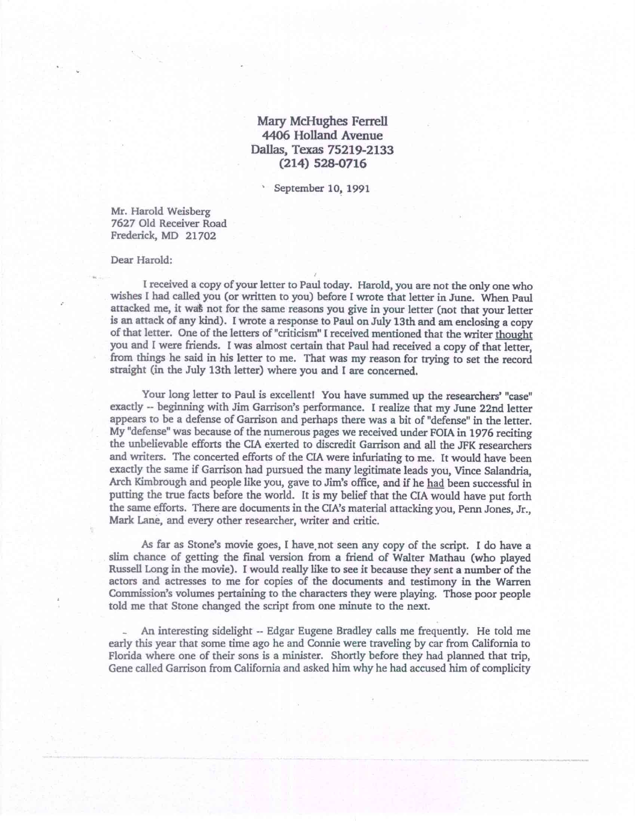## **Mary McHughes Ferrell 4406 Holland Avenue Dallas, Texas 75219-2133 (214) 528-0716**

September 10, 1991

Mr. Harold Weisberg 7627 Old Receiver Road Frederick, MD 21702

## Dear Harold:

received a copy of your letter to Paul today. Harold, you are not the only one who wishes I had called you (or written to you) before I wrote that letter in June. When Paul attacked me, it wa§ not for the same reasons you give in your letter (not that your letter is an attack of any kind). I wrote a response to Paul on July 13th and am enclosing a copy of that letter. One of the letters of "criticism" I received mentioned that the writer thought you and I were friends. I was almost certain that Paul had received a copy of that letter, from things he said in his letter to me. That was my reason for trying to set the record straight (in the July 13th letter) where you and I are concerned.

Your long letter to Paul is excellent! You have summed up the researchers' "case" exactly -- beginning with Jim Garrison's performance. I realize that my June 22nd letter appears to be a defense of Garrison and perhaps there was a bit of "defense" in the letter. My "defense" was because of the numerous pages we received under FOIA in 1976 reciting the unbelievable efforts the CIA exerted to discredit Garrison and all the JFK researchers and writers. The concerted efforts of the CIA were infuriating to me. It would have been exactly the same if Garrison had pursued the many legitimate leads you, Vince Salandria, Arch Kimbrough and people like you, gave to Jim's office, and if he had been successful in putting the true facts before the world. It is my belief that the CIA would have put forth the same efforts. There are documents in the CIA's material attacking you, Penn Jones, Jr., Mark Lane, and every other researcher, writer and critic.

As far as Stone's movie goes, I have not seen any copy of the script. I do have a slim chance of getting the final version from a friend of Walter Mathau (who played Russell Long in the movie). I would really like to see it because they sent a number of the actors and actresses to me for copies of the documents and testimony in the Warren Commission's volumes pertaining to the characters they were playing. Those poor people told me that Stone changed the script from one minute to the next.

\_ An interesting sidelight -- Edgar Eugene Bradley calls me frequently. He told me early this year that some time ago he and Connie were traveling by car from California to Florida where one of their sons is a minister. Shortly before they had planned that trip, Gene called Garrison from California and asked him why he had accused him of complicity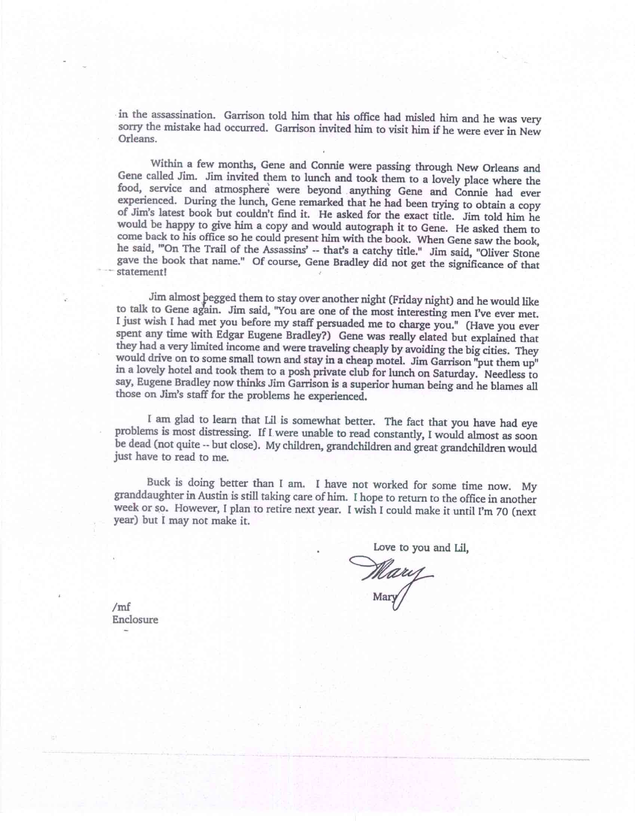in the assassination. Garrison told him that his office had misled him and he was very sorry the mistake had occurred. Garrison invited him to visit him if he were ever in New Orleans.

Within a few months, Gene and Connie were passing through New Orleans and Gene called Jim. Jim invited them to lunch and took them to a lovely place where the food, service and atmosphere were beyond anything Gene and Connie had ever experienced. During the lunch, Gene remarked that he had been trying to obtain a copy of Jim's latest book but couldn't find it. He asked for the exact title. Jim told him he would be happy to give him a copy and would autograph it to Gene. He asked them to come back to his office so he could present him with the book. When Gene saw the book, he said, '"On The Trail of the Assassins' -- that's a catchy title." Jim said, "Oliver Stone gave the book that name." Of course, Gene Bradley did not get the significance of that statement!

Jim almost pegged them to stay over another night (Friday night) and he would like to talk to Gene again. Jim said, "You are one of the most interesting men I've ever met. I just wish I had met you before my staff persuaded me to charge you." (Have you ever spent any time with Edgar Eugene Bradley?) Gene was really elated but explained that they had a very limited income and were traveling cheaply by avoiding the big cities. They would drive on to some small town and stay in a cheap motel. Jim Garrison "put them up" in a lovely hotel and took them to a posh private club for lunch on Saturday. Needless to say, Eugene Bradley now thinks Jim Garrison is a superior human being and he blames all those on Jim's staff for the problems he experienced.

I am glad to learn that Lil is somewhat better. The fact that you have had eye problems is most distressing. If I were unable to read constantly, I would almost as soon be dead (not quite -- but close). My children, grandchildren and great grandchildren would just have to read to me.

Buck is doing better than I am. I have not worked for some time now. My granddaughter in Austin is still taking care of him. I hope to return to the office in another week or so. However, I plan to retire next year. I wish I could make it until I'm 70 (next year) but I may not make it.

ve to you and Lil.

Mary

 $/mf$ Enclosure